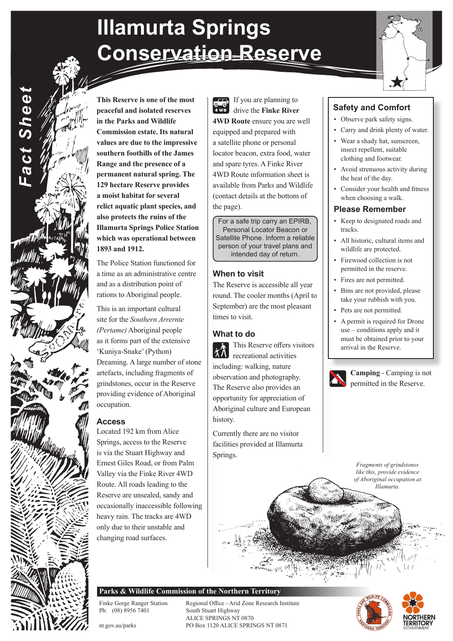# **Illamurta Springs Conservation Reserve**

 $\sqrt{10}$  $\frac{10-0}{4}$ 

If you are planning to drive the **Finke River 4WD Route** ensure you are well equipped and prepared with a satellite phone or personal

and spare tyres. A Finke River 4WD Route information sheet is available from Parks and Wildlife (contact details at the bottom of

the page).

**When to visit**

times to visit.

**What to do**

history.

Springs.

The Reserve is accessible all year round. The cooler months (April to September) are the most pleasant

For a safe trip carry an EPIRB, Personal Locator Beacon or Satellite Phone. Inform a reliable person of your travel plans and intended day of return.

This Reserve offers visitors

 $\sum_{\text{recreational activities}}$ including: walking, nature

Aboriginal culture and European

Currently there are no visitor facilities provided at Illamurta

**This Reserve is one of the most peaceful and isolated reserves in the Parks and Wildlife Commission estate. Its natural values are due to the impressive southern foothills of the James Range and the presence of a permanent natural spring. The 129 hectare Reserve provides a moist habitat for several relict aquatic plant species, and also protects the ruins of the Illamurta Springs Police Station which was operational between** 

**1893 and 1912.** 

*Fact Sheet*

Fact Sheet

occupation.

**Access**

The Police Station functioned for a time as an administrative centre and as a distribution point of rations to Aboriginal people. This is an important cultural site for the *Southern Arrernte (Pertame)* Aboriginal people as it forms part of the extensive 'Kuniya-Snake' (Python)

Dreaming. A large number of stone artefacts, including fragments of grindstones, occur in the Reserve providing evidence of Aboriginal

Located 192 km from Alice Springs, access to the Reserve is via the Stuart Highway and Ernest Giles Road, or from Palm Valley via the Finke River 4WD Route. All roads leading to the Reserve are unsealed, sandy and occasionally inaccessible following heavy rain. The tracks are 4WD



### **Safety and Comfort**

- Observe park safety signs.
- Carry and drink plenty of water.
- Wear a shady hat, sunscreen, insect repellent, suitable clothing and footwear.
- Avoid strenuous activity during the heat of the day.
- Consider your health and fitness when choosing a walk.

### **Please Remember**

- Keep to designated roads and tracks.
- All historic, cultural items and wildlife are protected.
- Firewood collection is not permitted in the reserve.
- 
- Bins are not provided, please take your rubbish with you.
- Pets are not permitted.
- A permit is required for Drone use – conditions apply and it must be obtained prior to your arrival in the Reserve.

**Camping** - Camping is not permitted in the Reserve.

*Fragments of grindstones like this, provide evidence of Aboriginal occupation at Illamurta.*

## locator beacon, extra food, water

- 
- 

- 
- 
- 
- Fires are not permitted.
- 
- 
- 

**Parks & Wildlife Commission of the Northern Territory**

Finke Gorge Ranger Station Regional Office - Arid Zone Research Institute<br>
Ph: (08) 8956 7401 South Stuart Highway South Stuart Highway ALICE SPRINGS NT 0870 nt.gov.au/parks PO Box 1120 ALICE SPRINGS NT 0871





### observation and photography. The Reserve also provides an opportunity for appreciation of

only due to their unstable and changing road surfaces.